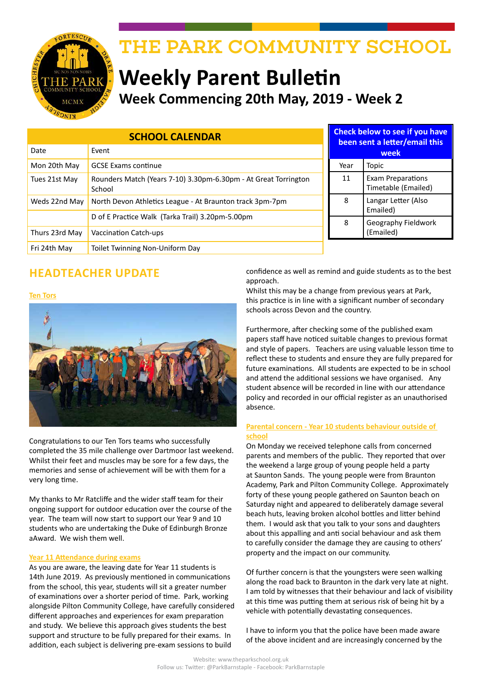

# THE PARK COMMUNITY SCHOOL

# **Weekly Parent Bulletin Week Commencing 20th May, 2019 - Week 2**

| <b>SCHOOL CALENDAR</b> |                                                                           |      | Check below to see if you have<br>been sent a letter/email this |  |  |
|------------------------|---------------------------------------------------------------------------|------|-----------------------------------------------------------------|--|--|
| Date                   | Event                                                                     |      | week                                                            |  |  |
| Mon 20th May           | <b>GCSE Exams continue</b>                                                | Year | Topic                                                           |  |  |
| Tues 21st May          | Rounders Match (Years 7-10) 3.30pm-6.30pm - At Great Torrington<br>School | 11   | <b>Exam Preparations</b><br>Timetable (Emailed)                 |  |  |
| Weds 22nd May          | North Devon Athletics League - At Braunton track 3pm-7pm                  | 8    | Langar Letter (Also<br>Emailed)                                 |  |  |
|                        | D of E Practice Walk (Tarka Trail) 3.20pm-5.00pm                          | 8    | Geography Fieldwork                                             |  |  |
| Thurs 23rd May         | <b>Vaccination Catch-ups</b>                                              |      | (Emailed)                                                       |  |  |
| Fri 24th May           | Toilet Twinning Non-Uniform Day                                           |      |                                                                 |  |  |

# **HEADTEACHER UPDATE**

#### **Ten Tors**



Congratulations to our Ten Tors teams who successfully completed the 35 mile challenge over Dartmoor last weekend. Whilst their feet and muscles may be sore for a few days, the memories and sense of achievement will be with them for a very long time.

My thanks to Mr Ratcliffe and the wider staff team for their ongoing support for outdoor education over the course of the year. The team will now start to support our Year 9 and 10 students who are undertaking the Duke of Edinburgh Bronze aAward. We wish them well.

#### **Year 11 Attendance during exams**

As you are aware, the leaving date for Year 11 students is 14th June 2019. As previously mentioned in communications from the school, this year, students will sit a greater number of examinations over a shorter period of time. Park, working alongside Pilton Community College, have carefully considered different approaches and experiences for exam preparation and study. We believe this approach gives students the best support and structure to be fully prepared for their exams. In addition, each subject is delivering pre-exam sessions to build

confidence as well as remind and guide students as to the best approach.

Whilst this may be a change from previous years at Park, this practice is in line with a significant number of secondary schools across Devon and the country.

Furthermore, after checking some of the published exam papers staff have noticed suitable changes to previous format and style of papers. Teachers are using valuable lesson time to reflect these to students and ensure they are fully prepared for future examinations. All students are expected to be in school and attend the additional sessions we have organised. Any student absence will be recorded in line with our attendance policy and recorded in our official register as an unauthorised absence.

#### **Parental concern - Year 10 students behaviour outside of school**

On Monday we received telephone calls from concerned parents and members of the public. They reported that over the weekend a large group of young people held a party at Saunton Sands. The young people were from Braunton Academy, Park and Pilton Community College. Approximately forty of these young people gathered on Saunton beach on Saturday night and appeared to deliberately damage several beach huts, leaving broken alcohol bottles and litter behind them. I would ask that you talk to your sons and daughters about this appalling and anti social behaviour and ask them to carefully consider the damage they are causing to others' property and the impact on our community.

Of further concern is that the youngsters were seen walking along the road back to Braunton in the dark very late at night. I am told by witnesses that their behaviour and lack of visibility at this time was putting them at serious risk of being hit by a vehicle with potentially devastating consequences.

I have to inform you that the police have been made aware of the above incident and are increasingly concerned by the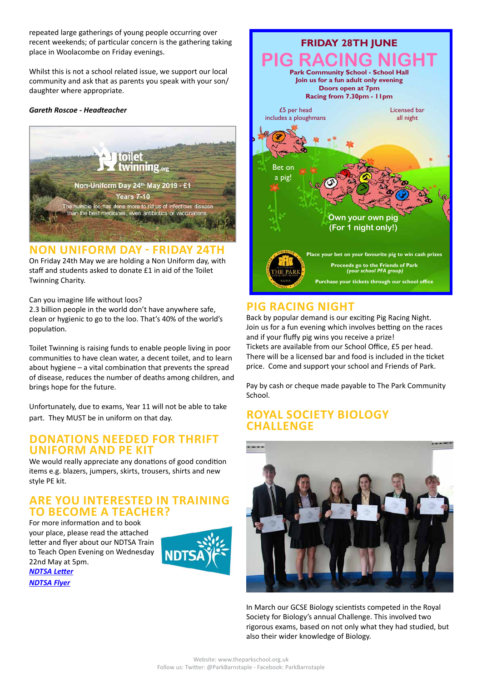repeated large gatherings of young people occurring over recent weekends; of particular concern is the gathering taking place in Woolacombe on Friday evenings.

Whilst this is not a school related issue, we support our local community and ask that as parents you speak with your son/ daughter where appropriate.

#### *Gareth Roscoe - Headteacher*



#### **NON UNIFORM DAY - FRIDAY 24TH**

On Friday 24th May we are holding a Non Uniform day, with staff and students asked to donate £1 in aid of the Toilet Twinning Charity.

Can you imagine life without loos?

2.3 billion people in the world don't have anywhere safe, clean or hygienic to go to the loo. That's 40% of the world's population.

Toilet Twinning is raising funds to enable people living in poor communities to have clean water, a decent toilet, and to learn about hygiene – a vital combination that prevents the spread of disease, reduces the number of deaths among children, and brings hope for the future.

Unfortunately, due to exams, Year 11 will not be able to take part. They MUST be in uniform on that day.

#### **DONATIONS NEEDED FOR THRIFT UNIFORM AND PE KIT**

We would really appreciate any donations of good condition items e.g. blazers, jumpers, skirts, trousers, shirts and new style PE kit.

### **ARE YOU INTERESTED IN TRAINING TO BECOME A TEACHER?**

For more information and to book your place, please read the attached letter and flyer about our NDTSA Train to Teach Open Evening on Wednesday 22nd May at 5pm. *[NDTSA Letter](http://www.theparkschool.org.uk/sites/default/files/Train-To-Teach-LetterMay19.pdf)*







# **PIG RACING NIGHT**

Back by popular demand is our exciting Pig Racing Night. Join us for a fun evening which involves betting on the races and if your fluffy pig wins you receive a prize! Tickets are available from our School Office, £5 per head. There will be a licensed bar and food is included in the ticket price. Come and support your school and Friends of Park.

Pay by cash or cheque made payable to The Park Community School.

# **ROYAL SOCIETY BIOLOGY CHALLENGE**



In March our GCSE Biology scientists competed in the Royal Society for Biology's annual Challenge. This involved two rigorous exams, based on not only what they had studied, but also their wider knowledge of Biology.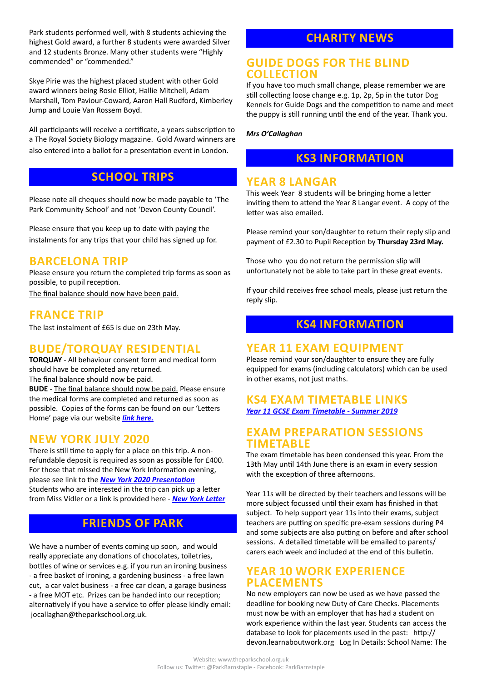Park students performed well, with 8 students achieving the highest Gold award, a further 8 students were awarded Silver and 12 students Bronze. Many other students were "Highly commended" or "commended."

Skye Pirie was the highest placed student with other Gold award winners being Rosie Elliot, Hallie Mitchell, Adam Marshall, Tom Paviour-Coward, Aaron Hall Rudford, Kimberley Jump and Louie Van Rossem Boyd.

All participants will receive a certificate, a years subscription to a The Royal Society Biology magazine. Gold Award winners are also entered into a ballot for a presentation event in London.

# **SCHOOL TRIPS**

Please note all cheques should now be made payable to 'The Park Community School' and not 'Devon County Council'.

Please ensure that you keep up to date with paying the instalments for any trips that your child has signed up for.

# **BARCELONA TRIP**

Please ensure you return the completed trip forms as soon as possible, to pupil reception. The final balance should now have been paid.

### **FRANCE TRIP**

The last instalment of £65 is due on 23th May.

# **BUDE/TORQUAY RESIDENTIAL**

**TORQUAY** - All behaviour consent form and medical form should have be completed any returned.

The final balance should now be paid.

**BUDE** - The final balance should now be paid. Please ensure the medical forms are completed and returned as soon as possible. Copies of the forms can be found on our 'Letters Home' page via our website *[link here](http://www.theparkschool.org.uk/letters-home-0).*

## **NEW YORK JULY 2020**

There is still time to apply for a place on this trip. A nonrefundable deposit is required as soon as possible for £400. For those that missed the New York Information evening, please see link to the *[New York 2020 Presentation](http://www.theparkschool.org.uk/sites/default/files/NewYorkMeetingPowerPoint-July2020.pdf)* Students who are interested in the trip can pick up a letter from Miss Vidler or a link is provided here - *[New York Letter](http://www.theparkschool.org.uk/sites/default/files/Payment%20Plan%20and%20Itinerary%20letter%202020.pdf)*

# **FRIENDS OF PARK**

We have a number of events coming up soon, and would really appreciate any donations of chocolates, toiletries, bottles of wine or services e.g. if you run an ironing business - a free basket of ironing, a gardening business - a free lawn cut, a car valet business - a free car clean, a garage business - a free MOT etc. Prizes can be handed into our reception; alternatively if you have a service to offer please kindly email: jocallaghan@theparkschool.org.uk.

# **CHARITY NEWS**

#### **GUIDE DOGS FOR THE BLIND COLLECTION**

If you have too much small change, please remember we are still collecting loose change e.g. 1p, 2p, 5p in the tutor Dog Kennels for Guide Dogs and the competition to name and meet the puppy is still running until the end of the year. Thank you.

*Mrs O'Callaghan*

## **KS3 INFORMATION**

### **YEAR 8 LANGAR**

This week Year 8 students will be bringing home a letter inviting them to attend the Year 8 Langar event. A copy of the letter was also emailed.

Please remind your son/daughter to return their reply slip and payment of £2.30 to Pupil Reception by **Thursday 23rd May.**

Those who you do not return the permission slip will unfortunately not be able to take part in these great events.

If your child receives free school meals, please just return the reply slip.

# **KS4 INFORMATION**

## **YEAR 11 EXAM EQUIPMENT**

Please remind your son/daughter to ensure they are fully equipped for exams (including calculators) which can be used in other exams, not just maths.

#### **KS4 EXAM TIMETABLE LINKS** *[Year 11 GCSE Exam Timetable - Summer 2019](http://www.theparkschool.org.uk/sites/default/files/GCSE_Student_Timetable2019.pdf)*

#### **EXAM PREPARATION SESSIONS TIMETABLE**

The exam timetable has been condensed this year. From the 13th May until 14th June there is an exam in every session with the exception of three afternoons.

Year 11s will be directed by their teachers and lessons will be more subject focussed until their exam has finished in that subject. To help support year 11s into their exams, subject teachers are putting on specific pre-exam sessions during P4 and some subjects are also putting on before and after school sessions. A detailed timetable will be emailed to parents/ carers each week and included at the end of this bulletin.

# **YEAR 10 WORK EXPERIENCE PLACEMENTS**

No new employers can now be used as we have passed the deadline for booking new Duty of Care Checks. Placements must now be with an employer that has had a student on work experience within the last year. Students can access the database to look for placements used in the past: http:// devon.learnaboutwork.org Log In Details: School Name: The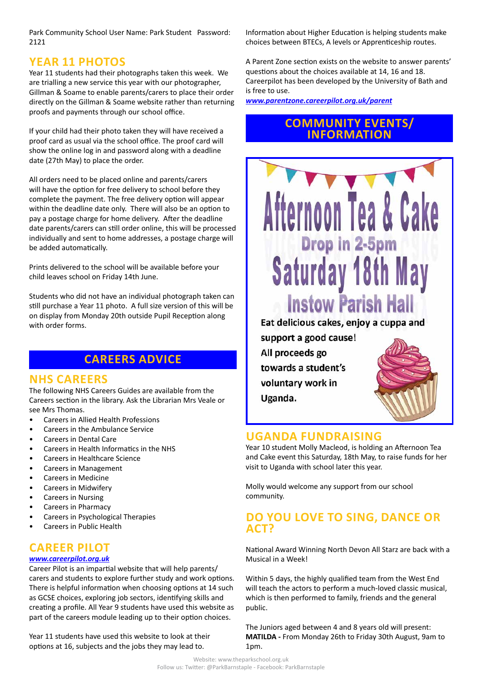Park Community School User Name: Park Student Password: 2121

### **YEAR 11 PHOTOS**

Year 11 students had their photographs taken this week. We are trialling a new service this year with our photographer, Gillman & Soame to enable parents/carers to place their order directly on the Gillman & Soame website rather than returning proofs and payments through our school office.

If your child had their photo taken they will have received a proof card as usual via the school office. The proof card will show the online log in and password along with a deadline date (27th May) to place the order.

All orders need to be placed online and parents/carers will have the option for free delivery to school before they complete the payment. The free delivery option will appear within the deadline date only. There will also be an option to pay a postage charge for home delivery. After the deadline date parents/carers can still order online, this will be processed individually and sent to home addresses, a postage charge will be added automatically.

Prints delivered to the school will be available before your child leaves school on Friday 14th June.

Students who did not have an individual photograph taken can still purchase a Year 11 photo. A full size version of this will be on display from Monday 20th outside Pupil Reception along with order forms.

# **CAREERS ADVICE**

#### **NHS CAREERS**

The following NHS Careers Guides are available from the Careers section in the library. Ask the Librarian Mrs Veale or see Mrs Thomas.

- Careers in Allied Health Professions
- Careers in the Ambulance Service
- Careers in Dental Care
- Careers in Health Informatics in the NHS
- Careers in Healthcare Science
- Careers in Management
- Careers in Medicine
- Careers in Midwifery
- Careers in Nursing
- Careers in Pharmacy
- Careers in Psychological Therapies
- Careers in Public Health

# **CAREER PILOT**

#### *[www.careerpilot.org.uk](http://www.careerpilot.org.uk)*

Career Pilot is an impartial website that will help parents/ carers and students to explore further study and work options. There is helpful information when choosing options at 14 such as GCSE choices, exploring job sectors, identifying skills and creating a profile. All Year 9 students have used this website as part of the careers module leading up to their option choices.

Year 11 students have used this website to look at their options at 16, subjects and the jobs they may lead to.

Information about Higher Education is helping students make choices between BTECs, A levels or Apprenticeship routes.

A Parent Zone section exists on the website to answer parents' questions about the choices available at 14, 16 and 18. Careerpilot has been developed by the University of Bath and is free to use.

*[www.parentzone.careerpilot.org.uk/parent](http://www.parentzone.careerpilot.org.uk/parent)*

# **COMMUNITY EVENTS/ INFORMATION**

Afternoon Tea & Cake

Drop in 2-5pm

**Saturday 18th May** 

**Instow Parish Hall** 

Eat delicious cakes, enjoy a cuppa and

## **UGANDA FUNDRAISING**

support a good cause!

towards a student's voluntary work in

All proceeds go

Uganda.

Year 10 student Molly Macleod, is holding an Afternoon Tea and Cake event this Saturday, 18th May, to raise funds for her visit to Uganda with school later this year.

Molly would welcome any support from our school community.

# **DO YOU LOVE TO SING, DANCE OR ACT?**

National Award Winning North Devon All Starz are back with a Musical in a Week!

Within 5 days, the highly qualified team from the West End will teach the actors to perform a much-loved classic musical. which is then performed to family, friends and the general public.

The Juniors aged between 4 and 8 years old will present: **MATILDA -** From Monday 26th to Friday 30th August, 9am to 1pm.

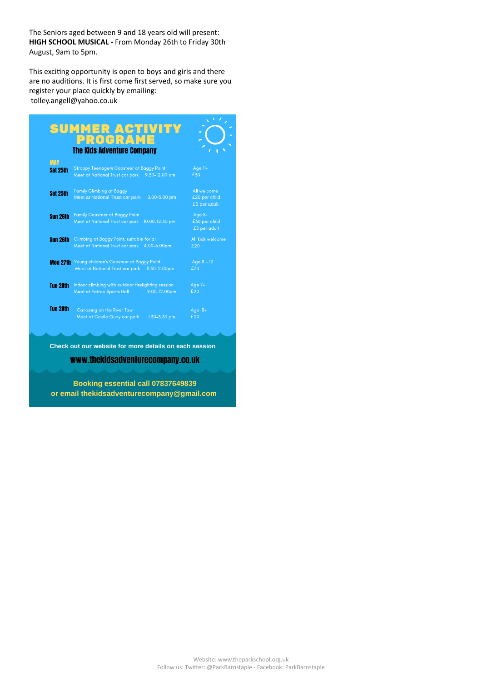The Seniors aged between 9 and 18 years old will present: **HIGH SCHOOL MUSICAL -** From Monday 26th to Friday 30th August, 9am to 5pm.

This exciting opportunity is open to boys and girls and there are no auditions. It is first come first served, so make sure you register your place quickly by emailing: tolley.angell@yahoo.co.uk

|                 | PROGRAME                                                                                                    |                                              |
|-----------------|-------------------------------------------------------------------------------------------------------------|----------------------------------------------|
|                 | <b>The Kids Adventure Company</b>                                                                           |                                              |
| <b>MAY</b>      |                                                                                                             |                                              |
| Sat 25th        | <b>Stroppy Teenagers Coasteer at Baggy Point</b><br>Meet at National Trust car park 9.30-12.00 am           | Age 11+<br>£30                               |
| Sat 25th        | <b>Family Climbing at Baggy</b><br>Meet at National Trust car park<br>3.00-5.00 pm                          | All welcome<br>£20 per child<br>£5 per adult |
| <b>Sun 26th</b> | <b>Family Coasteer at Baggy Point</b><br>Meet at National Trust car park<br>10.00-12.30 pm                  | Age $8+$<br>£30 per child<br>£5 per adult    |
| <b>Sun 26th</b> | Climbing at Baggy Point, suitable for all<br>Meet at National Trust car park 4.00-6.00pm                    | All kids welcome<br>£20                      |
|                 | Mon 27th Young children's Coasteer at Baggy Point<br>Meet at National Trust car park 11.30-2.00pm           | Age $8 - 12$<br>£30                          |
| Tue 28th        | Indoor climbing with outdoor firelighting session<br>Meet at Petroc Sports Hall <b>Meet</b><br>9.00-12.00pm | Age $7+$<br>£20                              |
| <b>Tue 28th</b> | Canoeing on the River Taw<br>Meet at Castle Quay car park<br>1.30-3.30 pm                                   | Age $8+$<br>£20                              |

**Check out our website for more details on each session**

www.thekidsadventurecompany.co.uk

**Booking essential call 07837649839 or email thekidsadventurecompany@gmail.com**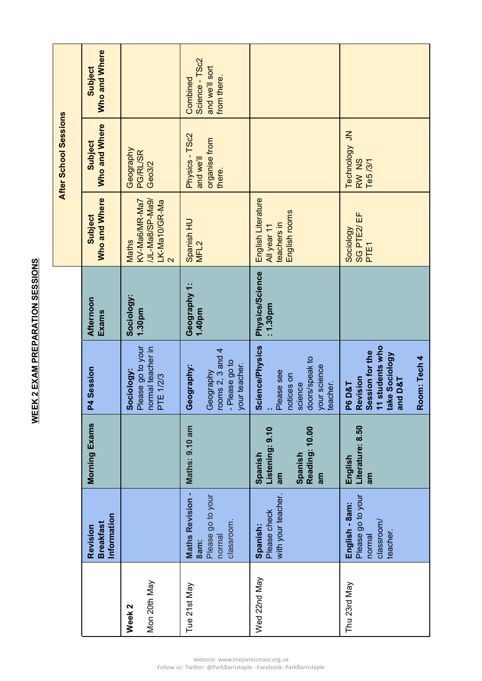**WEEK 2 EXAM PREPARATION SESSIONS WEEK 2 EXAM PREPARATION SESSIONS**

|                                   |                                                                              |                                                                     |                                                                                                                         |                                    |                                                                             | After School Sessions                                  |                                                             |
|-----------------------------------|------------------------------------------------------------------------------|---------------------------------------------------------------------|-------------------------------------------------------------------------------------------------------------------------|------------------------------------|-----------------------------------------------------------------------------|--------------------------------------------------------|-------------------------------------------------------------|
|                                   | Information<br><b>Breakfast</b><br>Revision                                  | Morning Exams                                                       | P4 Session                                                                                                              | Afternoon<br>Exams                 | Who and Where<br><b>Subject</b>                                             | Who and Where<br>Subject                               | Who and Where<br>Subject                                    |
| Mon 20th May<br>Week <sub>2</sub> |                                                                              |                                                                     | Sociology:<br>Please go to your<br>normal teacher in<br>PTE 1/2/3                                                       | Sociology:<br>1.30pm               | /JL-Ma8/SP-Ma9/<br>KV-Ma6/MR-Ma7<br>LK-Ma10/GR-Ma<br><b>Maths</b><br>$\sim$ | Geography<br>PG/RL/SR<br>Geo3/2                        |                                                             |
| Tue 21st May                      | <b>Maths Revision -</b><br>Please go to your<br>classroom.<br>normal<br>8am: | Maths: 9.10 am                                                      | rooms 2, 3 and 4<br>- Please go to<br>your teacher.<br>Geography:<br>Geography                                          | Geography 1:<br>1.40pm             | Spanish HU<br>MFL <sub>2</sub>                                              | Physics - TSc2<br>organise from<br>and we'll<br>there. | Science - TSc2<br>and we'll sort<br>from there.<br>Combined |
| Wed 22nd May                      | with your teacher.<br>Please check<br>Spanish:                               | Reading: 10.00<br>Listening: 9.10<br>Spanish<br>Spanish<br>am<br>am | <b>Science/Physics</b><br>doors/speak to<br>your science<br>:<br>Please see<br>notices on<br>teacher.<br>science        | <b>Physics/Science</b><br>: 1.30pm | English Literature<br>English rooms<br>teachers in<br>All year 11           |                                                        |                                                             |
| Thu 23rd May                      | Please go to your<br>English - 8am:<br>dassroom/<br>teacher.<br>normal       | Literature: 8.50<br>English<br>am                                   | I students who<br>P6 D&T<br>Revision<br>Session for the<br>11 students who<br>take Sociology<br>Room: Tech 4<br>and D&T |                                    | SG PTE2/ EF<br>Sociology<br>PTE1                                            | Technology JN<br>RW NS<br>Te5 /3/1                     |                                                             |